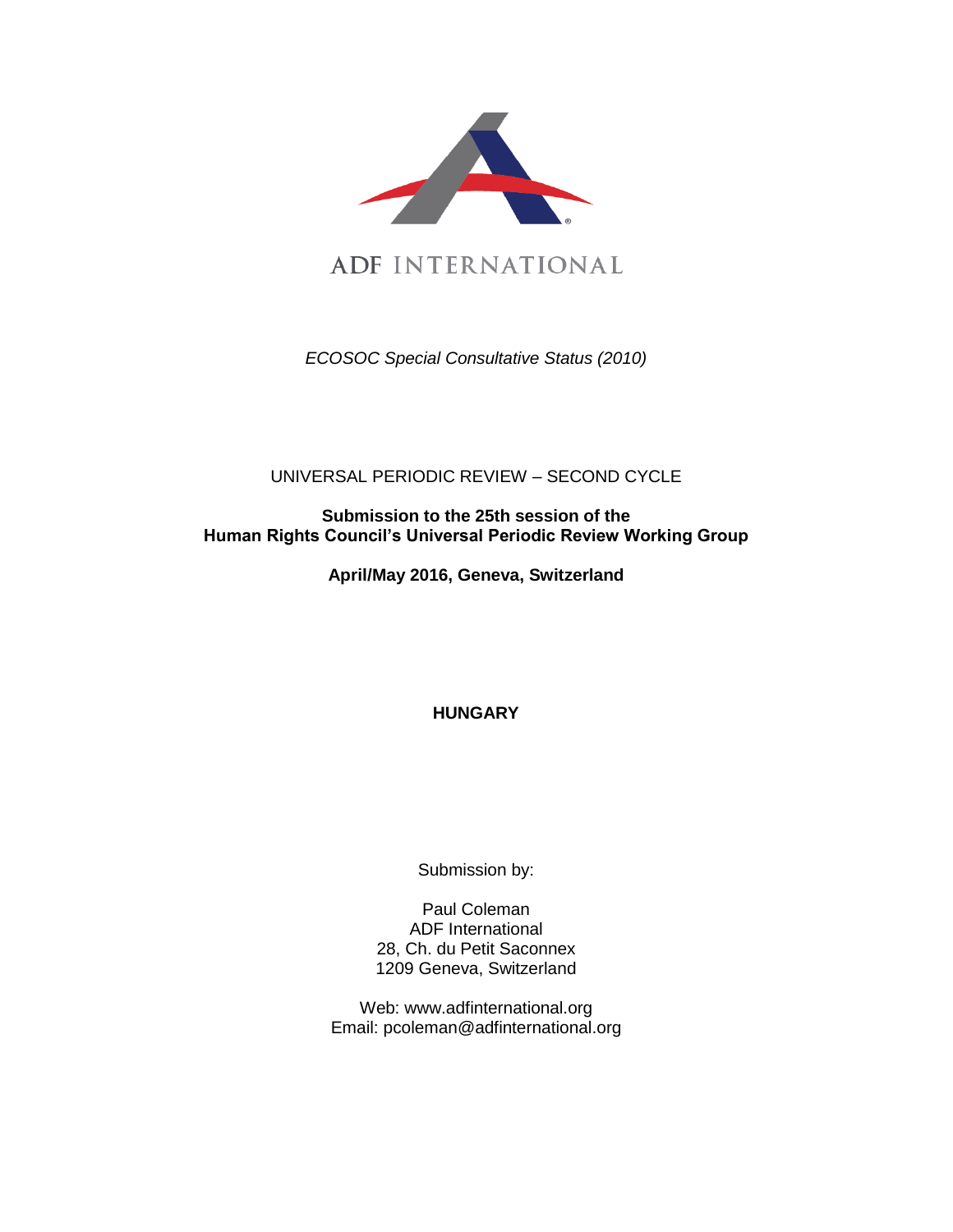

ADF INTERNATIONAL

*ECOSOC Special Consultative Status (2010)*

UNIVERSAL PERIODIC REVIEW – SECOND CYCLE

**Submission to the 25th session of the Human Rights Council's Universal Periodic Review Working Group**

**April/May 2016, Geneva, Switzerland**

**HUNGARY**

Submission by:

Paul Coleman ADF International 28, Ch. du Petit Saconnex 1209 Geneva, Switzerland

Web: www.adfinternational.org Email: pcoleman@adfinternational.org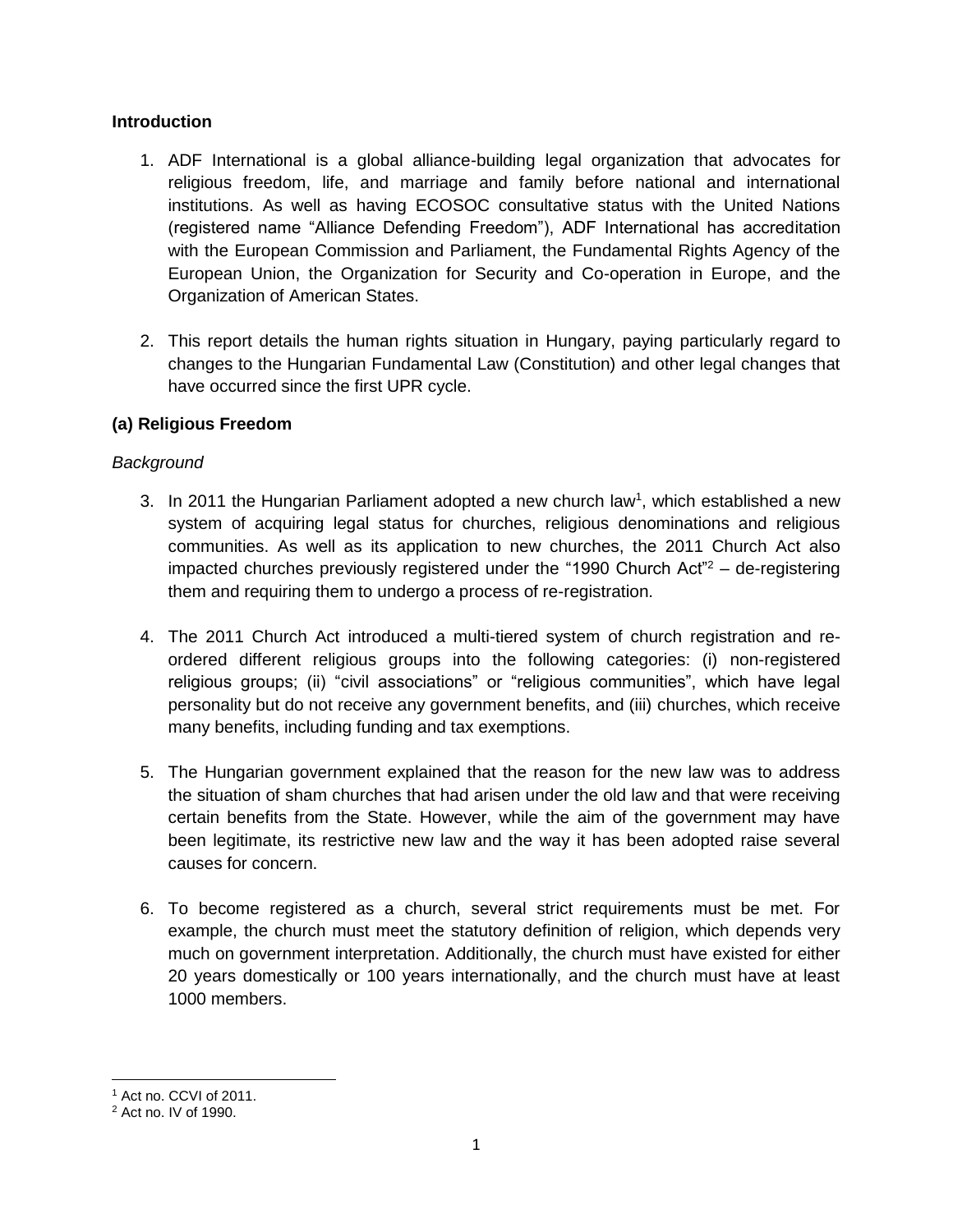## **Introduction**

- 1. ADF International is a global alliance-building legal organization that advocates for religious freedom, life, and marriage and family before national and international institutions. As well as having ECOSOC consultative status with the United Nations (registered name "Alliance Defending Freedom"), ADF International has accreditation with the European Commission and Parliament, the Fundamental Rights Agency of the European Union, the Organization for Security and Co-operation in Europe, and the Organization of American States.
- 2. This report details the human rights situation in Hungary, paying particularly regard to changes to the Hungarian Fundamental Law (Constitution) and other legal changes that have occurred since the first UPR cycle.

# **(a) Religious Freedom**

# *Background*

- 3. In 2011 the Hungarian Parliament adopted a new church law<sup>1</sup>, which established a new system of acquiring legal status for churches, religious denominations and religious communities. As well as its application to new churches, the 2011 Church Act also impacted churches previously registered under the "1990 Church Act" $2 -$  de-registering them and requiring them to undergo a process of re-registration.
- 4. The 2011 Church Act introduced a multi-tiered system of church registration and reordered different religious groups into the following categories: (i) non-registered religious groups; (ii) "civil associations" or "religious communities", which have legal personality but do not receive any government benefits, and (iii) churches, which receive many benefits, including funding and tax exemptions.
- 5. The Hungarian government explained that the reason for the new law was to address the situation of sham churches that had arisen under the old law and that were receiving certain benefits from the State. However, while the aim of the government may have been legitimate, its restrictive new law and the way it has been adopted raise several causes for concern.
- 6. To become registered as a church, several strict requirements must be met. For example, the church must meet the statutory definition of religion, which depends very much on government interpretation. Additionally, the church must have existed for either 20 years domestically or 100 years internationally, and the church must have at least 1000 members.

 $\overline{a}$ <sup>1</sup> Act no. CCVI of 2011.

<sup>2</sup> Act no. IV of 1990.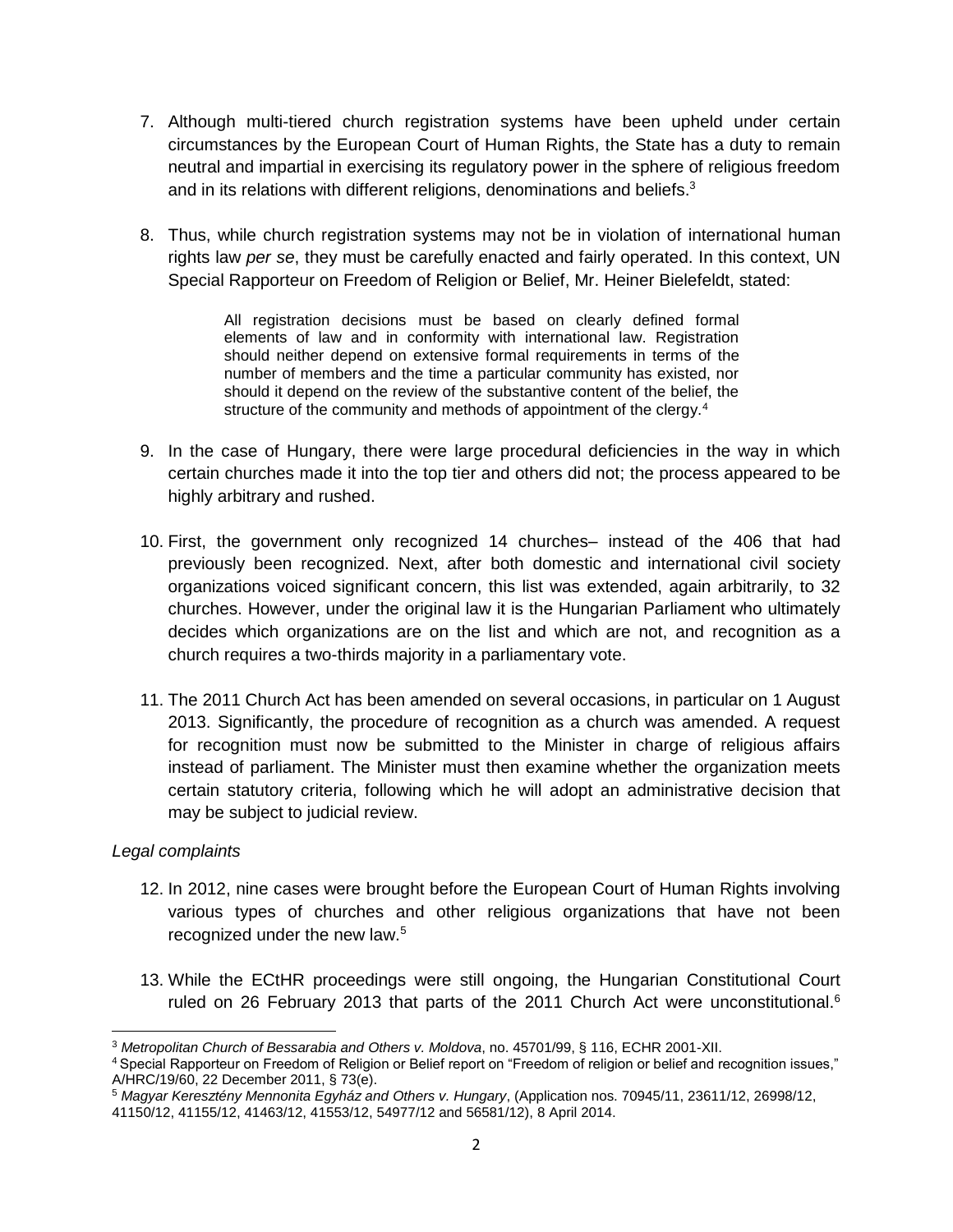- 7. Although multi-tiered church registration systems have been upheld under certain circumstances by the European Court of Human Rights, the State has a duty to remain neutral and impartial in exercising its regulatory power in the sphere of religious freedom and in its relations with different religions, denominations and beliefs.<sup>3</sup>
- 8. Thus, while church registration systems may not be in violation of international human rights law *per se*, they must be carefully enacted and fairly operated. In this context, UN Special Rapporteur on Freedom of Religion or Belief, Mr. Heiner Bielefeldt, stated:

All registration decisions must be based on clearly defined formal elements of law and in conformity with international law. Registration should neither depend on extensive formal requirements in terms of the number of members and the time a particular community has existed, nor should it depend on the review of the substantive content of the belief, the structure of the community and methods of appointment of the clergy.<sup>4</sup>

- 9. In the case of Hungary, there were large procedural deficiencies in the way in which certain churches made it into the top tier and others did not; the process appeared to be highly arbitrary and rushed.
- 10. First, the government only recognized 14 churches– instead of the 406 that had previously been recognized. Next, after both domestic and international civil society organizations voiced significant concern, this list was extended, again arbitrarily, to 32 churches. However, under the original law it is the Hungarian Parliament who ultimately decides which organizations are on the list and which are not, and recognition as a church requires a two-thirds majority in a parliamentary vote.
- 11. The 2011 Church Act has been amended on several occasions, in particular on 1 August 2013. Significantly, the procedure of recognition as a church was amended. A request for recognition must now be submitted to the Minister in charge of religious affairs instead of parliament. The Minister must then examine whether the organization meets certain statutory criteria, following which he will adopt an administrative decision that may be subject to judicial review.

### *Legal complaints*

- 12. In 2012, nine cases were brought before the European Court of Human Rights involving various types of churches and other religious organizations that have not been recognized under the new law.<sup>5</sup>
- 13. While the ECtHR proceedings were still ongoing, the Hungarian Constitutional Court ruled on 26 February 2013 that parts of the 2011 Church Act were unconstitutional.<sup>6</sup>

l <sup>3</sup> *Metropolitan Church of Bessarabia and Others v. Moldova*, no. 45701/99, § 116, ECHR 2001-XII.

<sup>4</sup> Special Rapporteur on Freedom of Religion or Belief report on "Freedom of religion or belief and recognition issues," A/HRC/19/60, 22 December 2011, § 73(e).

<sup>5</sup> *Magyar Keresztény Mennonita Egyház and Others v. Hungary*, (Application nos. 70945/11, 23611/12, 26998/12,

<sup>41150/12, 41155/12, 41463/12, 41553/12, 54977/12</sup> and 56581/12), 8 April 2014.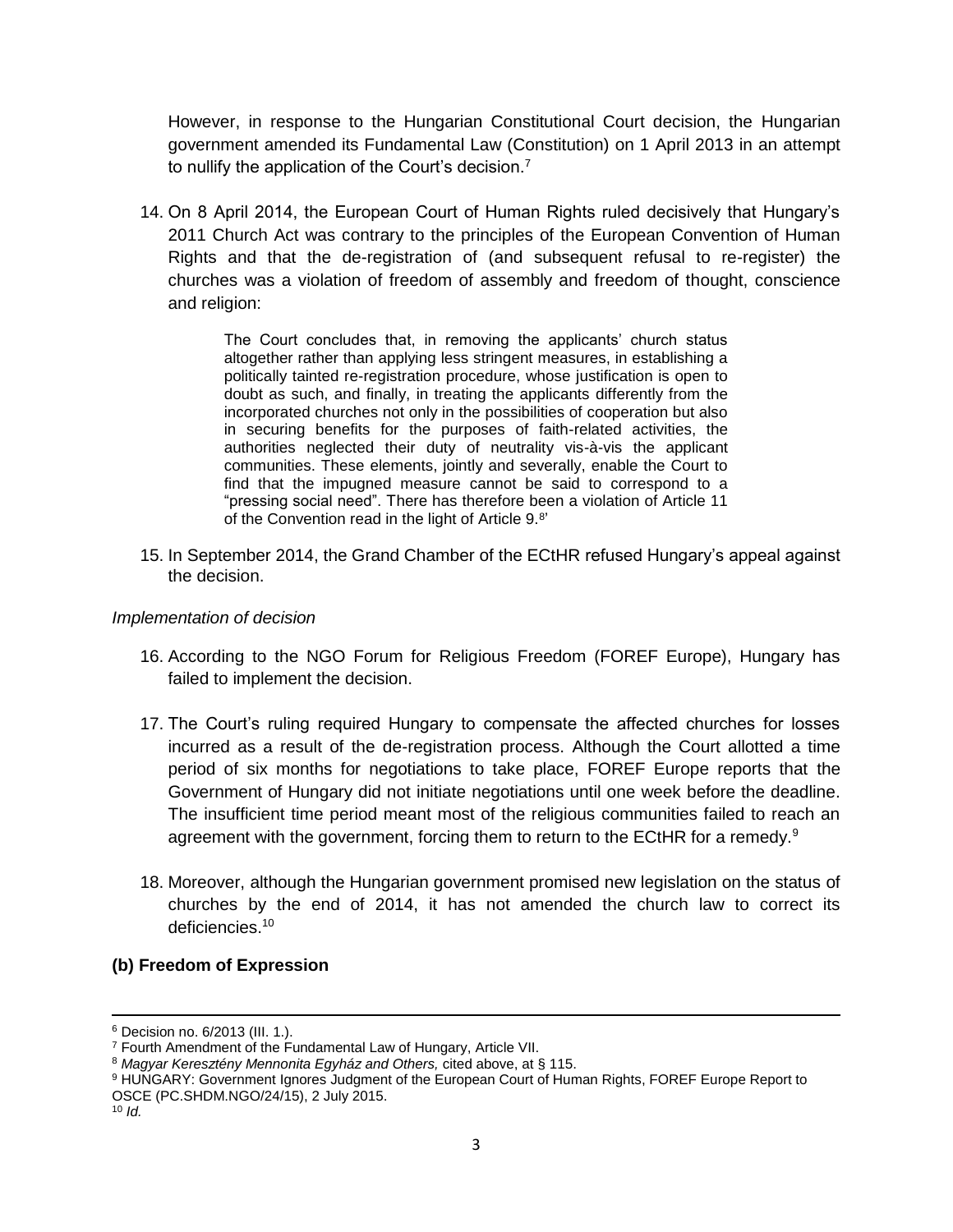However, in response to the Hungarian Constitutional Court decision, the Hungarian government amended its Fundamental Law (Constitution) on 1 April 2013 in an attempt to nullify the application of the Court's decision.<sup>7</sup>

14. On 8 April 2014, the European Court of Human Rights ruled decisively that Hungary's 2011 Church Act was contrary to the principles of the European Convention of Human Rights and that the de-registration of (and subsequent refusal to re-register) the churches was a violation of freedom of assembly and freedom of thought, conscience and religion:

> The Court concludes that, in removing the applicants' church status altogether rather than applying less stringent measures, in establishing a politically tainted re-registration procedure, whose justification is open to doubt as such, and finally, in treating the applicants differently from the incorporated churches not only in the possibilities of cooperation but also in securing benefits for the purposes of faith-related activities, the authorities neglected their duty of neutrality vis-à-vis the applicant communities. These elements, jointly and severally, enable the Court to find that the impugned measure cannot be said to correspond to a "pressing social need". There has therefore been a violation of Article 11 of the Convention read in the light of Article 9.<sup>8</sup>'

15. In September 2014, the Grand Chamber of the ECtHR refused Hungary's appeal against the decision.

#### *Implementation of decision*

- 16. According to the NGO Forum for Religious Freedom (FOREF Europe), Hungary has failed to implement the decision.
- 17. The Court's ruling required Hungary to compensate the affected churches for losses incurred as a result of the de-registration process. Although the Court allotted a time period of six months for negotiations to take place, FOREF Europe reports that the Government of Hungary did not initiate negotiations until one week before the deadline. The insufficient time period meant most of the religious communities failed to reach an agreement with the government, forcing them to return to the ECtHR for a remedy. $9$
- 18. Moreover, although the Hungarian government promised new legislation on the status of churches by the end of 2014, it has not amended the church law to correct its deficiencies.<sup>10</sup>

### **(b) Freedom of Expression**

 $\overline{\phantom{a}}$ 

<sup>6</sup> Decision no. 6/2013 (III. 1.).

<sup>7</sup> Fourth Amendment of the Fundamental Law of Hungary, Article VII.

<sup>8</sup> *Magyar Keresztény Mennonita Egyház and Others,* cited above, at § 115.

<sup>9</sup> HUNGARY: Government Ignores Judgment of the European Court of Human Rights, FOREF Europe Report to OSCE (PC.SHDM.NGO/24/15), 2 July 2015.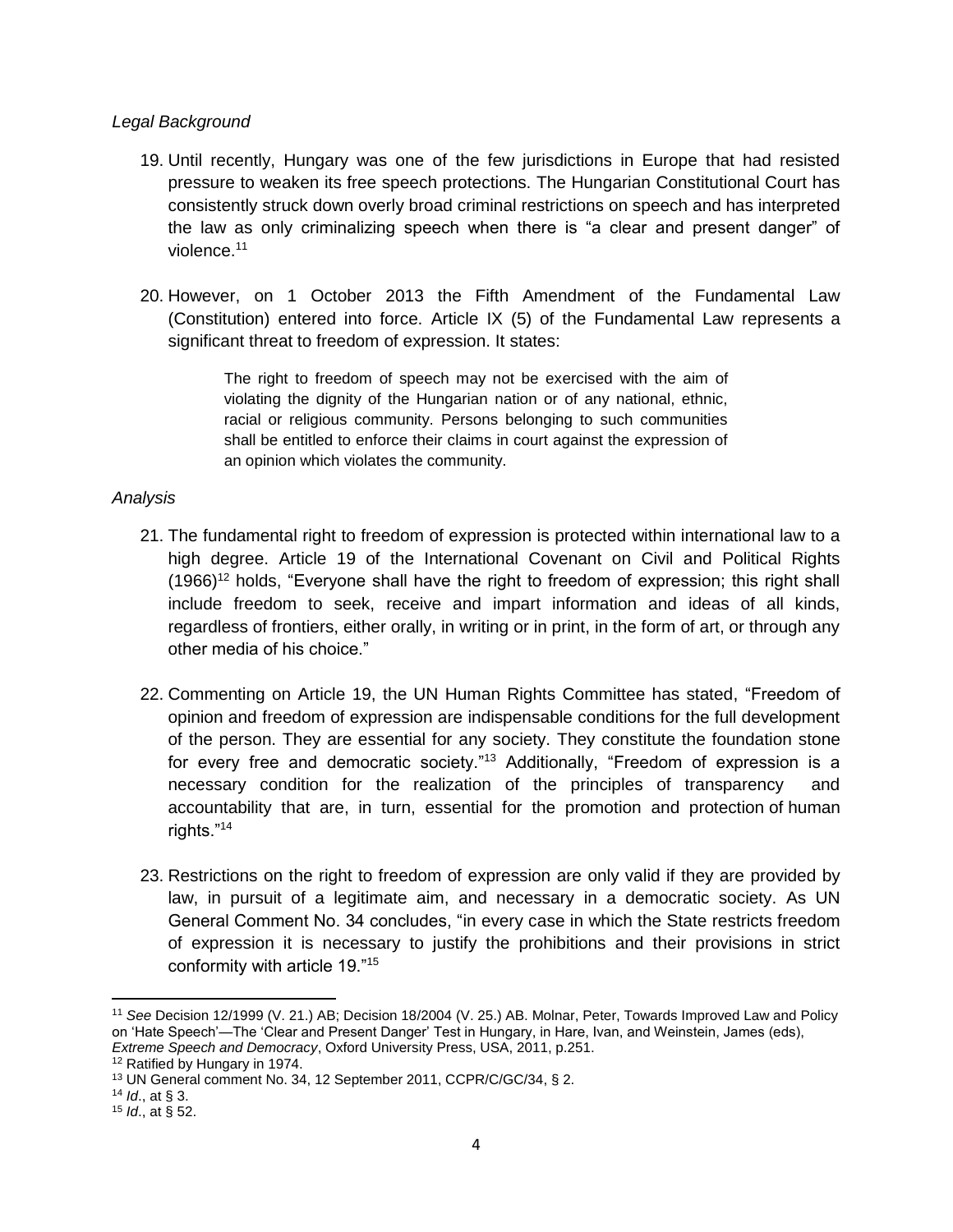#### *Legal Background*

- 19. Until recently, Hungary was one of the few jurisdictions in Europe that had resisted pressure to weaken its free speech protections. The Hungarian Constitutional Court has consistently struck down overly broad criminal restrictions on speech and has interpreted the law as only criminalizing speech when there is "a clear and present danger" of violence.<sup>11</sup>
- 20. However, on 1 October 2013 the Fifth Amendment of the Fundamental Law (Constitution) entered into force. Article IX (5) of the Fundamental Law represents a significant threat to freedom of expression. It states:

The right to freedom of speech may not be exercised with the aim of violating the dignity of the Hungarian nation or of any national, ethnic, racial or religious community. Persons belonging to such communities shall be entitled to enforce their claims in court against the expression of an opinion which violates the community.

### *Analysis*

- 21. The fundamental right to freedom of expression is protected within international law to a high degree. Article 19 of the International Covenant on Civil and Political Rights (1966)<sup>12</sup> holds, "Everyone shall have the right to freedom of expression; this right shall include freedom to seek, receive and impart information and ideas of all kinds, regardless of frontiers, either orally, in writing or in print, in the form of art, or through any other media of his choice."
- 22. Commenting on Article 19, the UN Human Rights Committee has stated, "Freedom of opinion and freedom of expression are indispensable conditions for the full development of the person. They are essential for any society. They constitute the foundation stone for every free and democratic society."<sup>13</sup> Additionally, "Freedom of expression is a necessary condition for the realization of the principles of transparency and accountability that are, in turn, essential for the promotion and protection of human rights."<sup>14</sup>
- 23. Restrictions on the right to freedom of expression are only valid if they are provided by law, in pursuit of a legitimate aim, and necessary in a democratic society. As UN General Comment No. 34 concludes, "in every case in which the State restricts freedom of expression it is necessary to justify the prohibitions and their provisions in strict conformity with article 19."<sup>15</sup>

 $\overline{a}$ 

<sup>11</sup> *See* Decision 12/1999 (V. 21.) AB; Decision 18/2004 (V. 25.) AB. Molnar, Peter, Towards Improved Law and Policy on 'Hate Speech'—The 'Clear and Present Danger' Test in Hungary, in Hare, Ivan, and Weinstein, James (eds), *Extreme Speech and Democracy*, Oxford University Press, USA, 2011, p.251.

<sup>12</sup> Ratified by Hungary in 1974.

<sup>13</sup> UN General comment No. 34, 12 September 2011, CCPR/C/GC/34, § 2.

<sup>14</sup> *Id*., at § 3.

<sup>15</sup> *Id*., at § 52.